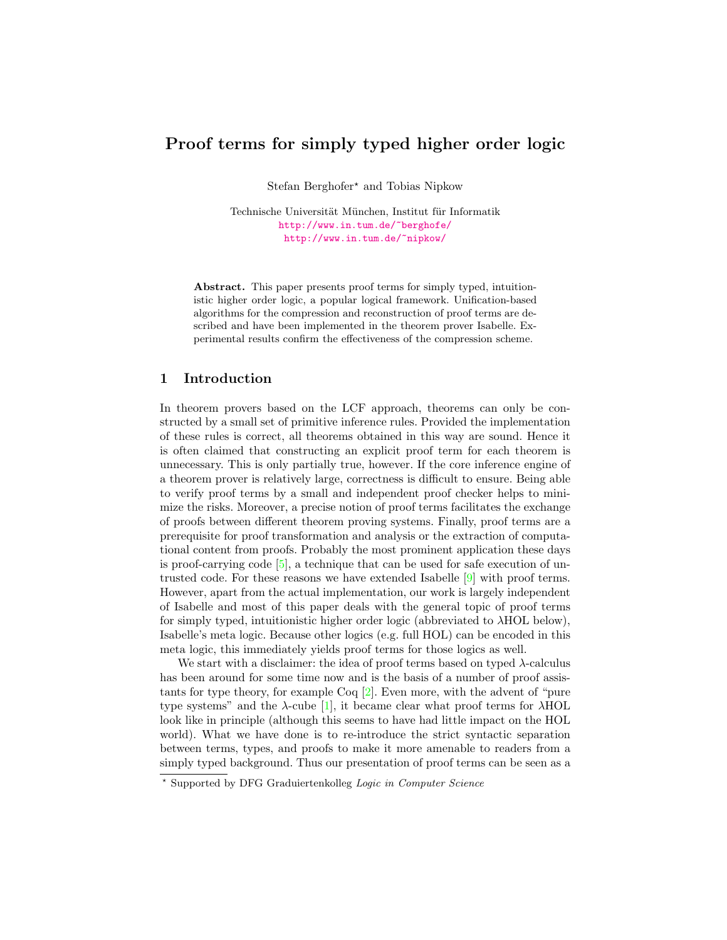# Proof terms for simply typed higher order logic

Stefan Berghofer? and Tobias Nipkow

Technische Universität München, Institut für Informatik <http://www.in.tum.de/~berghofe/> <http://www.in.tum.de/~nipkow/>

Abstract. This paper presents proof terms for simply typed, intuitionistic higher order logic, a popular logical framework. Unification-based algorithms for the compression and reconstruction of proof terms are described and have been implemented in the theorem prover Isabelle. Experimental results confirm the effectiveness of the compression scheme.

# 1 Introduction

In theorem provers based on the LCF approach, theorems can only be constructed by a small set of primitive inference rules. Provided the implementation of these rules is correct, all theorems obtained in this way are sound. Hence it is often claimed that constructing an explicit proof term for each theorem is unnecessary. This is only partially true, however. If the core inference engine of a theorem prover is relatively large, correctness is difficult to ensure. Being able to verify proof terms by a small and independent proof checker helps to minimize the risks. Moreover, a precise notion of proof terms facilitates the exchange of proofs between different theorem proving systems. Finally, proof terms are a prerequisite for proof transformation and analysis or the extraction of computational content from proofs. Probably the most prominent application these days isproof-carrying code  $[5]$  $[5]$ , a technique that can be used for safe execution of untrusted code. For these reasons we have extended Isabelle [\[9](#page-14-1)] with proof terms. However, apart from the actual implementation, our work is largely independent of Isabelle and most of this paper deals with the general topic of proof terms for simply typed, intuitionistic higher order logic (abbreviated to λHOL below), Isabelle's meta logic. Because other logics (e.g. full HOL) can be encoded in this meta logic, this immediately yields proof terms for those logics as well.

We start with a disclaimer: the idea of proof terms based on typed  $\lambda$ -calculus has been around for some time now and is the basis of a number of proof assistants for type theory, for example Coq[[2](#page-14-2)]. Even more, with the advent of "pure type systems" and the  $\lambda$ -cube [\[1\]](#page-14-3), it became clear what proof terms for  $\lambda$ HOL look like in principle (although this seems to have had little impact on the HOL world). What we have done is to re-introduce the strict syntactic separation between terms, types, and proofs to make it more amenable to readers from a simply typed background. Thus our presentation of proof terms can be seen as a

<sup>?</sup> Supported by DFG Graduiertenkolleg Logic in Computer Science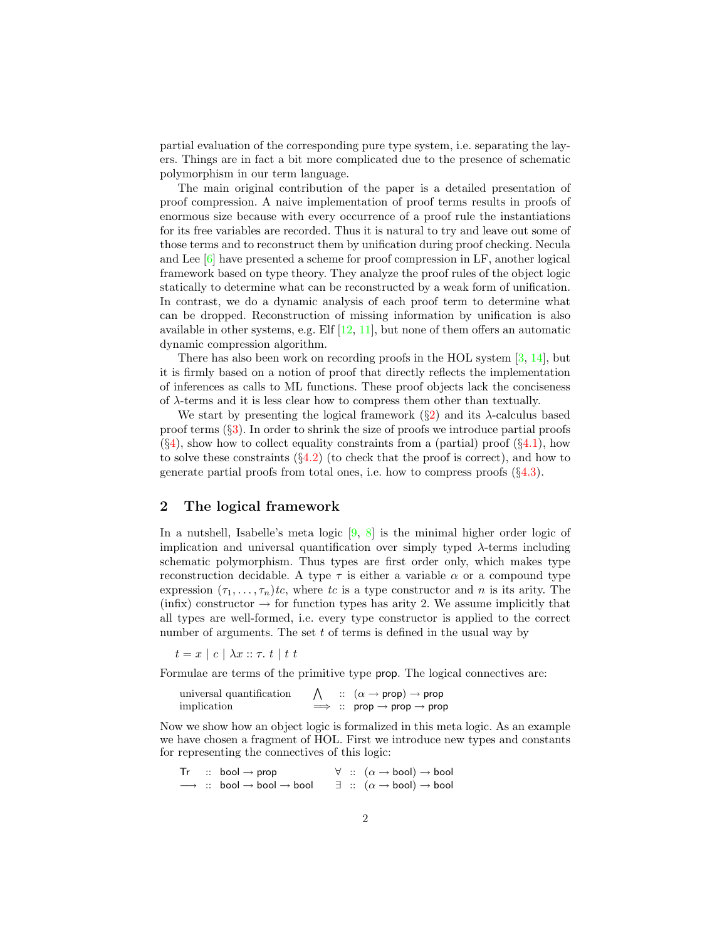partial evaluation of the corresponding pure type system, i.e. separating the layers. Things are in fact a bit more complicated due to the presence of schematic polymorphism in our term language.

The main original contribution of the paper is a detailed presentation of proof compression. A naive implementation of proof terms results in proofs of enormous size because with every occurrence of a proof rule the instantiations for its free variables are recorded. Thus it is natural to try and leave out some of those terms and to reconstruct them by unification during proof checking. Necula and Lee [\[6](#page-14-4)] have presented a scheme for proof compression in LF, another logical framework based on type theory. They analyze the proof rules of the object logic statically to determine what can be reconstructed by a weak form of unification. In contrast, we do a dynamic analysis of each proof term to determine what can be dropped. Reconstruction of missing information by unification is also available in other systems, e.g. Elf  $[12, 11]$  $[12, 11]$ , but none of them offers an automatic dynamic compression algorithm.

Therehas also been work on recording proofs in the HOL system  $[3, 14]$  $[3, 14]$  $[3, 14]$  $[3, 14]$  $[3, 14]$ , but it is firmly based on a notion of proof that directly reflects the implementation of inferences as calls to ML functions. These proof objects lack the conciseness of  $\lambda$ -terms and it is less clear how to compress them other than textually.

We start by presenting the logical framework  $(\S2)$  $(\S2)$  and its  $\lambda$ -calculus based proof terms  $(\S3)$  $(\S3)$ . In order to shrink the size of proofs we introduce partial proofs  $(\S4)$  $(\S4)$  $(\S4)$ , show how to collect equality constraints from a (partial) proof  $(\S4.1)$  $(\S4.1)$  $(\S4.1)$ , how to solve these constraints  $(\S4.2)$  $(\S4.2)$  $(\S4.2)$  (to check that the proof is correct), and how to generate partial proofs from total ones, i.e. how to compress proofs (§[4.3\)](#page-10-0).

# <span id="page-1-0"></span>2 The logical framework

Ina nutshell, Isabelle's meta logic  $[9, 8]$  $[9, 8]$  $[9, 8]$  $[9, 8]$  $[9, 8]$  is the minimal higher order logic of implication and universal quantification over simply typed  $\lambda$ -terms including schematic polymorphism. Thus types are first order only, which makes type reconstruction decidable. A type  $\tau$  is either a variable  $\alpha$  or a compound type expression  $(\tau_1, \ldots, \tau_n)$ tc, where tc is a type constructor and n is its arity. The  $(\text{infix})$  constructor  $\rightarrow$  for function types has arity 2. We assume implicitly that all types are well-formed, i.e. every type constructor is applied to the correct number of arguments. The set  $t$  of terms is defined in the usual way by

 $t = x \mid c \mid \lambda x :: \tau. t \mid t \mid t$ 

Formulae are terms of the primitive type prop. The logical connectives are:

universal quantification ::  $(\alpha \rightarrow \text{prop}) \rightarrow \text{prop}$ implication  $\implies$  :: prop  $\rightarrow$  prop  $\rightarrow$  prop

Now we show how an object logic is formalized in this meta logic. As an example we have chosen a fragment of HOL. First we introduce new types and constants for representing the connectives of this logic:

|  | $\mathsf{Tr} \quad :: \quad \mathsf{bool} \rightarrow \mathsf{prop}$ |  | $\forall :: (\alpha \rightarrow \text{bool}) \rightarrow \text{bool}$ |
|--|----------------------------------------------------------------------|--|-----------------------------------------------------------------------|
|  | $\longrightarrow$ :: bool $\rightarrow$ bool $\rightarrow$ bool      |  | $\exists :: (\alpha \rightarrow \text{bool}) \rightarrow \text{bool}$ |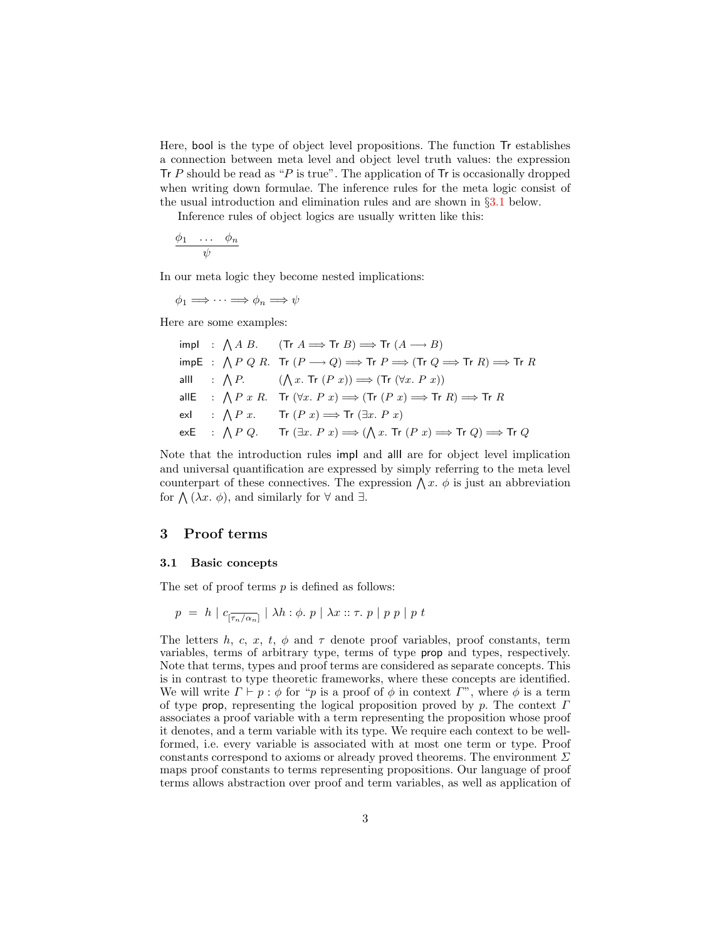Here, bool is the type of object level propositions. The function Tr establishes a connection between meta level and object level truth values: the expression Tr  $P$  should be read as " $P$  is true". The application of  $\mathsf{Tr}$  is occasionally dropped when writing down formulae. The inference rules for the meta logic consist of the usual introduction and elimination rules and are shown in §[3.1](#page-2-1) below.

Inference rules of object logics are usually written like this:

$$
\frac{\phi_1 \quad \dots \quad \phi_n}{\psi}
$$

In our meta logic they become nested implications:

$$
\phi_1 \Longrightarrow \cdots \Longrightarrow \phi_n \Longrightarrow \psi
$$

Here are some examples:

$$
\begin{aligned}\n\text{impl} &\; : \; \bigwedge A \; B. \quad (\text{Tr } A \Longrightarrow \text{Tr } B) \Longrightarrow \text{Tr } (A \longrightarrow B) \\
\text{impE} &\; : \; \bigwedge P \; Q \; R. \quad \text{Tr } (P \longrightarrow Q) \Longrightarrow \text{Tr } P \Longrightarrow (\text{Tr } Q \Longrightarrow \text{Tr } R) \Longrightarrow \text{Tr } R \\
\text{allI} &\; : \; \bigwedge P. \quad (\bigwedge x. \, \text{Tr } (P \; x)) \Longrightarrow (\text{Tr } (\forall x. \, P \; x)) \\
\text{allE} &\; : \; \bigwedge P \; x \; R. \quad \text{Tr } (\forall x. \, P \; x) \Longrightarrow (\text{Tr } (P \; x) \Longrightarrow \text{Tr } R) \Longrightarrow \text{Tr } R \\
\text{exl} &\; : \; \bigwedge P \; x. \quad \text{Tr } (P \; x) \Longrightarrow \text{Tr } (\exists x. \, P \; x) \\
\text{exE} &\; : \; \bigwedge P \; Q. \quad \text{Tr } (\exists x. \, P \; x) \Longrightarrow (\bigwedge x. \, \text{Tr } (P \; x) \Longrightarrow \text{Tr } Q) \Longrightarrow \text{Tr } Q\n\end{aligned}
$$

Note that the introduction rules impI and allI are for object level implication and universal quantification are expressed by simply referring to the meta level counterpart of these connectives. The expression  $\bigwedge x$ .  $\phi$  is just an abbreviation for  $\bigwedge (\lambda x. \phi)$ , and similarly for  $\forall$  and  $\exists$ .

# <span id="page-2-0"></span>3 Proof terms

#### <span id="page-2-1"></span>3.1 Basic concepts

The set of proof terms  $p$  is defined as follows:

$$
p \; = \; h \; | \; c_{\overline{[\tau_n/\alpha_n]}} \; | \; \lambda h : \phi. \; p \; | \; \lambda x :: \tau. \; p \; | \; p \; p \; | \; p \; t
$$

The letters h, c, x, t,  $\phi$  and  $\tau$  denote proof variables, proof constants, term variables, terms of arbitrary type, terms of type prop and types, respectively. Note that terms, types and proof terms are considered as separate concepts. This is in contrast to type theoretic frameworks, where these concepts are identified. We will write  $\Gamma \vdash p : \phi$  for "p is a proof of  $\phi$  in context  $\Gamma$ ", where  $\phi$  is a term of type prop, representing the logical proposition proved by p. The context  $\Gamma$ associates a proof variable with a term representing the proposition whose proof it denotes, and a term variable with its type. We require each context to be wellformed, i.e. every variable is associated with at most one term or type. Proof constants correspond to axioms or already proved theorems. The environment  $\Sigma$ maps proof constants to terms representing propositions. Our language of proof terms allows abstraction over proof and term variables, as well as application of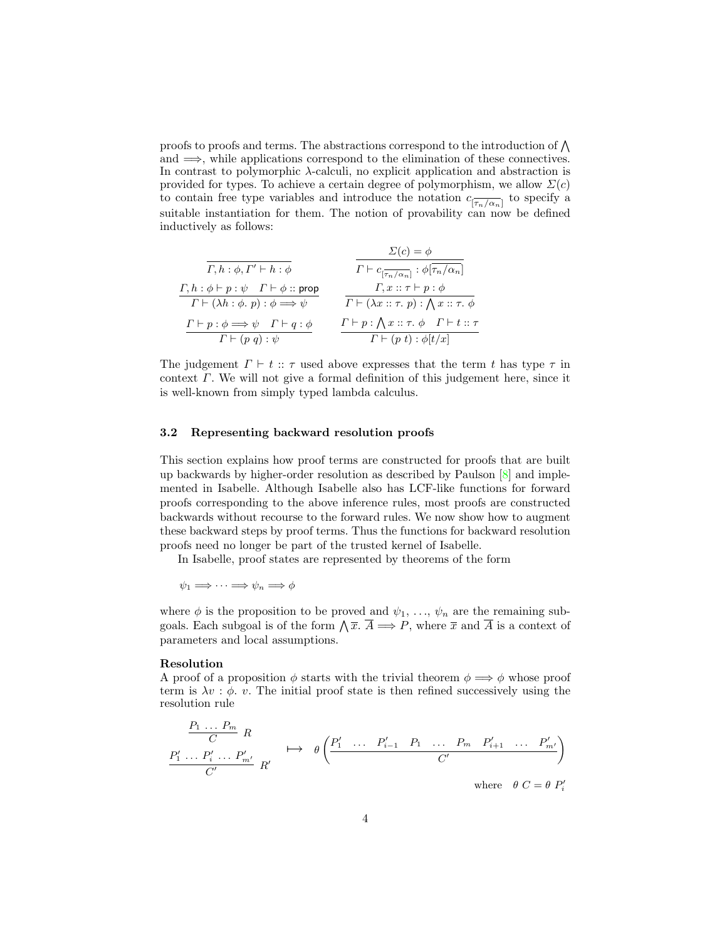proofs to proofs and terms. The abstractions correspond to the introduction of  $\Lambda$ and =⇒, while applications correspond to the elimination of these connectives. In contrast to polymorphic  $\lambda$ -calculi, no explicit application and abstraction is provided for types. To achieve a certain degree of polymorphism, we allow  $\Sigma(c)$ to contain free type variables and introduce the notation  $c_{\overline{(\tau_n/\alpha_n)}}$  to specify a suitable instantiation for them. The notion of provability can now be defined inductively as follows:

|                                                                            | $\Sigma(c) = \phi$                                                          |
|----------------------------------------------------------------------------|-----------------------------------------------------------------------------|
| $\Gamma, h : \phi, \Gamma' \vdash h : \phi$                                | $\Gamma \vdash c_{\lceil \tau_n/\alpha_n \rceil} : \phi[\tau_n/\alpha_n]$   |
| $\Gamma, h: \phi \vdash p: \psi \quad \Gamma \vdash \phi :: \mathsf{prop}$ | $\Gamma, x :: \tau \vdash p : \phi$                                         |
| $\Gamma \vdash (\lambda h : \phi, p) : \phi \Longrightarrow \psi$          | $\Gamma \vdash (\lambda x :: \tau. p) : \bigwedge x :: \tau. \phi$          |
| $\Gamma \vdash p : \phi \Longrightarrow \psi \quad \Gamma \vdash q : \phi$ | $\Gamma \vdash p : \bigwedge x :: \tau. \phi \quad \Gamma \vdash t :: \tau$ |
| $\Gamma \vdash (p \ q) : \psi$                                             | $\Gamma \vdash (p\ t) : \phi[t/x]$                                          |

The judgement  $\Gamma \vdash t :: \tau$  used above expresses that the term t has type  $\tau$  in context  $\Gamma$ . We will not give a formal definition of this judgement here, since it is well-known from simply typed lambda calculus.

#### 3.2 Representing backward resolution proofs

This section explains how proof terms are constructed for proofs that are built up backwards by higher-order resolution as described by Paulson [\[8](#page-14-9)] and implemented in Isabelle. Although Isabelle also has LCF-like functions for forward proofs corresponding to the above inference rules, most proofs are constructed backwards without recourse to the forward rules. We now show how to augment these backward steps by proof terms. Thus the functions for backward resolution proofs need no longer be part of the trusted kernel of Isabelle.

In Isabelle, proof states are represented by theorems of the form

 $\psi_1 \Longrightarrow \cdots \Longrightarrow \psi_n \Longrightarrow \phi$ 

where  $\phi$  is the proposition to be proved and  $\psi_1, \ldots, \psi_n$  are the remaining subgoals. Each subgoal is of the form  $\bigwedge \overline{x}$ .  $\overline{A} \Longrightarrow P$ , where  $\overline{x}$  and  $\overline{A}$  is a context of parameters and local assumptions.

### Resolution

A proof of a proposition  $\phi$  starts with the trivial theorem  $\phi \Longrightarrow \phi$  whose proof term is  $\lambda v : \phi$ . The initial proof state is then refined successively using the resolution rule

$$
\frac{P_1 \dots P_m}{C} R
$$
\n
$$
\xrightarrow{P'_1 \dots P'_i \dots P'_{m'}} R' \longrightarrow \theta \left( \frac{P'_1 \dots P'_{i-1} P_1 \dots P_m P'_{i+1} \dots P'_{m'}}{C'_{i+1}} \right)
$$
\n
$$
\xrightarrow{P'_1 \dots P'_i \dots P'_{m'}}
$$
\n
$$
\xrightarrow{P'_2 \dots P'_{m'}}
$$
\n
$$
\xrightarrow{P'_3 \dots P'_{m'}}
$$
\n
$$
\xrightarrow{P'_4 \dots P'_{m'}}
$$
\n
$$
\xrightarrow{P'_5 \dots P'_{m'}}
$$
\n
$$
\xrightarrow{P'_6 \dots P'_{m'}}
$$
\n
$$
\xrightarrow{P'_7 \dots P'_{m'}}
$$
\n
$$
\xrightarrow{P'_8 \dots P'_{m'}}
$$
\n
$$
\xrightarrow{P'_9 \dots P'_9}
$$
\n
$$
\xrightarrow{P'_9 \dots P'_9}
$$
\n
$$
\xrightarrow{P'_8 \dots P'_9}
$$
\n
$$
\xrightarrow{P'_9 \dots P'_9}
$$
\n
$$
\xrightarrow{P'_9 \dots P'_9}
$$
\n
$$
\xrightarrow{P'_9 \dots P'_9}
$$
\n
$$
\xrightarrow{P'_9 \dots P'_9}
$$
\n
$$
\xrightarrow{P'_9 \dots P'_9}
$$
\n
$$
\xrightarrow{P'_9 \dots P'_9}
$$
\n
$$
\xrightarrow{P'_9 \dots P'_9}
$$
\n
$$
\xrightarrow{P'_9 \dots P'_9}
$$
\n
$$
\xrightarrow{P'_9 \dots P'_9}
$$
\n
$$
\xrightarrow{P'_9 \dots P'_9}
$$
\n
$$
\xrightarrow{P'_9 \dots P'_9}
$$
\n
$$
\xrightarrow{P'_9 \dots P'_9}
$$
\n
$$
\xrightarrow{P'_9 \dots P'_9}
$$
\n
$$
\xrightarrow{P'_9 \dots P'_9}
$$
\n
$$
\xrightarrow{P'_9 \dots P'_9}
$$
\n
$$
\xrightarrow{P'_9 \dots P'_9}
$$
\n
$$
\xrightarrow{P'_9 \dots P'_9}
$$
\n
$$
\xrightarrow{P'_9 \dots P'_9}
$$
\n
$$
\xrightarrow{P'_9 \dots P'_9}
$$
\n
$$
\xrightarrow
$$

where  $\theta C = \theta P'_i$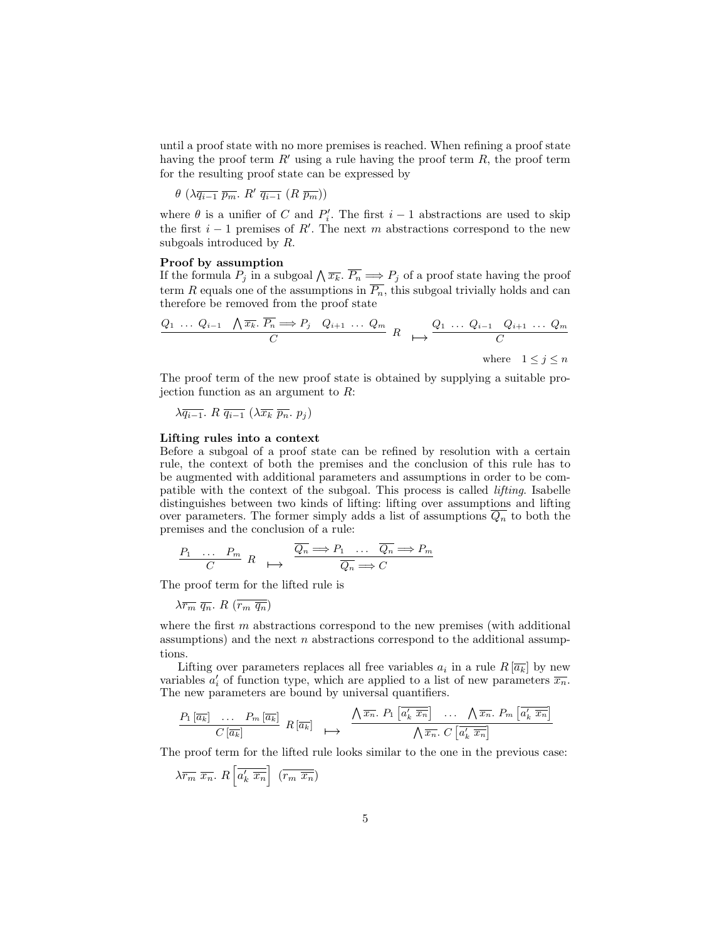until a proof state with no more premises is reached. When refining a proof state having the proof term  $R'$  using a rule having the proof term  $R$ , the proof term for the resulting proof state can be expressed by

 $\theta \left( \lambda \overline{q_{i-1}} \ \overline{p_m} \right)$ .  $R' \ \overline{q_{i-1}} \left( R \ \overline{p_m} \right)$ 

where  $\theta$  is a unifier of C and  $P'_i$ . The first  $i-1$  abstractions are used to skip the first  $i-1$  premises of R'. The next m abstractions correspond to the new subgoals introduced by R.

#### Proof by assumption

If the formula  $P_j$  in a subgoal  $\bigwedge \overline{x_k} \cdot \overline{P_n} \Longrightarrow P_j$  of a proof state having the proof term R equals one of the assumptions in  $\overline{P_n}$ , this subgoal trivially holds and can therefore be removed from the proof state

$$
\frac{Q_1 \dots Q_{i-1} \quad \bigwedge \overline{x_k} \cdot \overline{P_n} \Longrightarrow P_j \quad Q_{i+1} \dots Q_m}{C} \quad R \quad \longmapsto \frac{Q_1 \dots Q_{i-1} \quad Q_{i+1} \dots Q_m}{C}
$$
\nwhere  $1 \leq j \leq n$ 

The proof term of the new proof state is obtained by supplying a suitable projection function as an argument to  $R$ :

 $\lambda \overline{q_{i-1}}$ . R  $\overline{q_{i-1}}$   $(\lambda \overline{x_k} \ \overline{p_n}$ .  $p_j)$ 

### Lifting rules into a context

Before a subgoal of a proof state can be refined by resolution with a certain rule, the context of both the premises and the conclusion of this rule has to be augmented with additional parameters and assumptions in order to be compatible with the context of the subgoal. This process is called lifting. Isabelle distinguishes between two kinds of lifting: lifting over assumptions and lifting over parameters. The former simply adds a list of assumptions  $\overline{Q_n}$  to both the premises and the conclusion of a rule:

$$
\frac{P_1 \quad \dots \quad P_m}{C} R \quad \longmapsto \quad \frac{\overline{Q_n} \Longrightarrow P_1 \quad \dots \quad \overline{Q_n} \Longrightarrow P_m}{\overline{Q_n} \Longrightarrow C}
$$

The proof term for the lifted rule is

 $\lambda \overline{r_m} \ \overline{q_n}$ .  $R \ (\overline{r_m} \ \overline{q_n})$ 

where the first  $m$  abstractions correspond to the new premises (with additional assumptions) and the next  $n$  abstractions correspond to the additional assumptions.

Lifting over parameters replaces all free variables  $a_i$  in a rule  $R[\overline{a_k}]$  by new variables  $a'_i$  of function type, which are applied to a list of new parameters  $\overline{x_n}$ . The new parameters are bound by universal quantifiers.

$$
\frac{P_1\left[\overline{a_k}\right] \quad \ldots \quad P_m\left[\overline{a_k}\right]}{C\left[\overline{a_k}\right]} \quad R\left[\overline{a_k}\right] \quad \longmapsto \quad \frac{\left(\sqrt{\overline{x_n}} \cdot P_1\left[\overline{a_k'} \ \overline{x_n}\right] \quad \ldots \quad \left(\sqrt{\overline{x_n}} \cdot P_m\left[\overline{a_k'} \ \overline{x_n}\right] \right]}{\left(\sqrt{\overline{x_n}} \cdot C\left[\overline{a_k'} \ \overline{x_n}\right] \right)}
$$

The proof term for the lifted rule looks similar to the one in the previous case:

$$
\lambda \overline{r_m} \ \overline{x_n} \cdot R \left[ \overline{a'_k \ \overline{x_n}} \right] \ (\overline{r_m \ \overline{x_n}})
$$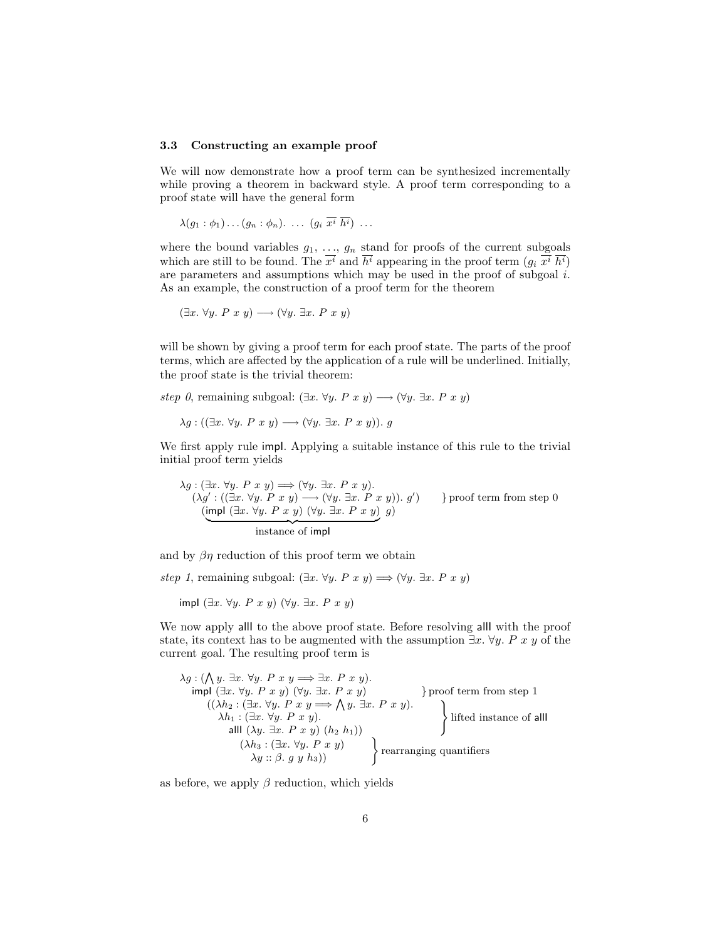#### 3.3 Constructing an example proof

We will now demonstrate how a proof term can be synthesized incrementally while proving a theorem in backward style. A proof term corresponding to a proof state will have the general form

$$
\lambda(g_1:\phi_1)\ldots(g_n:\phi_n)\ldots(g_i\ x^i\ h^i)\ \ldots
$$

where the bound variables  $g_1, \ldots, g_n$  stand for proofs of the current subgoals which are still to be found. The  $x^i$  and  $h^i$  appearing in the proof term  $(g_i x^i h^i)$ are parameters and assumptions which may be used in the proof of subgoal i. As an example, the construction of a proof term for the theorem

$$
(\exists x. \forall y. P x y) \longrightarrow (\forall y. \exists x. P x y)
$$

will be shown by giving a proof term for each proof state. The parts of the proof terms, which are affected by the application of a rule will be underlined. Initially, the proof state is the trivial theorem:

step 0, remaining subgoal:  $(\exists x. \forall y. P x y) \rightarrow (\forall y. \exists x. P x y)$ 

$$
\lambda g: ((\exists x. \forall y. P \ x \ y) \longrightarrow (\forall y. \ \exists x. P \ x \ y)).
$$

We first apply rule impI. Applying a suitable instance of this rule to the trivial initial proof term yields

$$
\lambda g: (\exists x. \forall y. P x y) \Longrightarrow (\forall y. \exists x. P x y).
$$
  
\n
$$
(\lambda g': ((\exists x. \forall y. P x y) \rightarrow (\forall y. \exists x. P x y)). g')
$$
 \n
$$
g')
$$
 \n
$$
(y \rightarrow \exists x. P x y) \rightarrow (\forall y. \exists x. P x y)
$$
 \n
$$
g)
$$
 \n
$$
(y \rightarrow \exists x. P x y) \rightarrow (y \rightarrow \exists y. P x y)
$$
 \n
$$
g)
$$
 \n
$$
(y \rightarrow \exists y. P x y) \rightarrow (y \rightarrow \exists y. P x y)
$$
 \n
$$
(y \rightarrow \exists y. P x y) \rightarrow (y \rightarrow \exists y. P x y)
$$
 \n
$$
(y \rightarrow \exists y. P x y) \rightarrow (y \rightarrow \exists y. P x y)
$$
 \n
$$
(y \rightarrow \exists y. P x y) \rightarrow (y \rightarrow \exists y. P x y)
$$

and by  $\beta\eta$  reduction of this proof term we obtain

step 1, remaining subgoal:  $(\exists x. \forall y. P x y) \Longrightarrow (\forall y. \exists x. P x y)$ 

impl  $(\exists x. \forall y. P x y) (\forall y. \exists x. P x y)$ 

We now apply allI to the above proof state. Before resolving allI with the proof state, its context has to be augmented with the assumption  $\exists x. \forall y. P x y$  of the current goal. The resulting proof term is

$$
\lambda g: (\bigwedge y. \exists x. \forall y. P \ x \ y \Longrightarrow \exists x. P \ x \ y).
$$
\n
$$
\text{impl } (\exists x. \forall y. P \ x \ y) \ (\forall y. \exists x. P \ x \ y)
$$
\n
$$
\{\langle \lambda h_2 : (\exists x. \forall y. P \ x \ y \Longrightarrow \bigwedge y. \exists x. P \ x \ y \rangle.\}
$$
\n
$$
\text{and } (\lambda y. \exists x. P \ x \ y)
$$
\n
$$
\text{all } (\lambda y. \exists x. P \ x \ y)
$$
\n
$$
\text{all } (\lambda y. \exists x. P \ x \ y)
$$
\n
$$
\text{all } (\lambda h_3 : (\exists x. \forall y. P \ x \ y)
$$
\n
$$
\text{all } (\lambda h_3 : (\exists x. \forall y. P \ x \ y)
$$
\n
$$
\text{v. } (\lambda h_3 : (\exists x. \forall y. P \ x \ y)
$$
\n
$$
\text{rearranging quantifiers}
$$

as before, we apply  $\beta$  reduction, which yields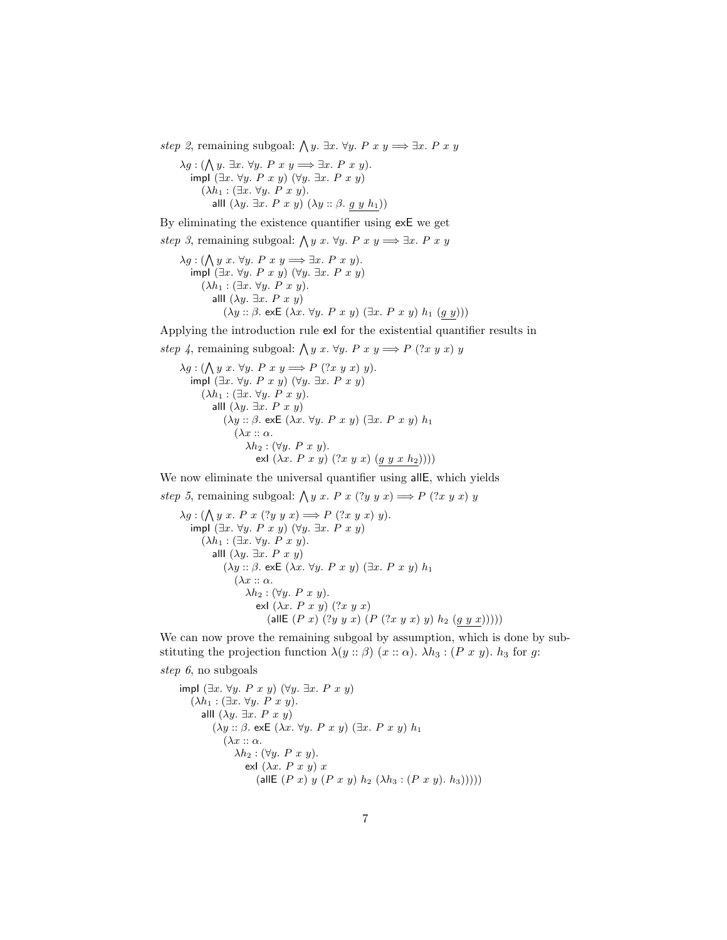step 2, remaining subgoal:  $\bigwedge y$ . ∃x.  $\forall y$ . P x y  $\implies \exists x$ . P x y

$$
\lambda g: (\bigwedge y. \exists x. \forall y. P x y \Longrightarrow \exists x. P x y).
$$
  
impl 
$$
(\exists x. \forall y. P x y) (\forall y. \exists x. P x y)
$$
  

$$
(\lambda h_1: (\exists x. \forall y. P x y).
$$
  
all 
$$
(\lambda y. \exists x. P x y) (\lambda y :: \beta. g y h_1))
$$

By eliminating the existence quantifier using exE we get

step 3, remaining subgoal:  $\bigwedge y$  x.  $\forall y$ . P x y  $\implies \exists x$ . P x y

$$
\lambda g: (\bigwedge y x. \forall y. P x y \Longrightarrow \exists x. P x y).
$$
  
impl 
$$
(\exists x. \forall y. P x y) (\forall y. \exists x. P x y)
$$
  

$$
(\lambda h_1: (\exists x. \forall y. P x y).
$$
  
all 
$$
(\lambda y. \exists x. P x y)
$$
  

$$
(\lambda y :: \beta. \text{ ext } (\lambda x. \forall y. P x y) (\exists x. P x y) h_1 (g y)))
$$

Applying the introduction rule exI for the existential quantifier results in

step 4, remaining subgoal:  $\bigwedge y x. \forall y. P x y \Longrightarrow P (?xy x) y$  $\lambda g: (\bigwedge y \ x. \ \forall y. \ P \ x \ y \Longrightarrow P \ (?x \ y \ x) \ y).$ impl  $(\exists x. \forall y. P \ x \ y) (\forall y. \exists x. P \ x \ y)$  $(\lambda h_1 : (\exists x. \forall y. P \ x \ y).$ all $(\lambda y. \exists x. P x y)$  $(\lambda y :: β.$  exE  $(\lambda x. ∀ y. P x y)$  (∃x. P x y)  $h_1$  $(\lambda x :: \alpha)$ .  $\lambda h_2 : (\forall y. P x y).$ exI  $(\lambda x. P x y)$   $(?x y x) (g y x h<sub>2</sub>))))$ 

We now eliminate the universal quantifier using allE, which yields

step 5, remaining subgoal:  $\bigwedge y \ x. P \ x \ (?\ y \ y \ x) \Longrightarrow P \ (?\ x \ y \ x) \ y$ 

$$
\lambda g: (\bigwedge y \ x. P \ x \ (?y \ y \ x) \Longrightarrow P \ (?x \ y \ x) \ y).
$$
\n
$$
\text{impl } (\exists x. \ \forall y. P \ x \ y) \ (\forall y. \ \exists x. P \ x \ y)
$$
\n
$$
(\lambda h_1: (\exists x. \ \forall y. P \ x \ y).
$$
\n
$$
\text{all } (\lambda y. \ \exists x. P \ x \ y)
$$
\n
$$
(\lambda y :: \beta. \ \text{exE } (\lambda x. \ \forall y. P \ x \ y) \ (\exists x. P \ x \ y) \ h_1
$$
\n
$$
(\lambda x :: \alpha. \ \lambda h_2: (\forall y. P \ x \ y).
$$
\n
$$
\text{exl } (\lambda x. P \ x \ y) \ (?x \ y \ x)
$$
\n
$$
(\text{all } (P \ x) \ (?y \ y \ x) \ (P \ (?x \ y \ x) \ y) \ h_2 \ (g \ y \ x))))
$$

We can now prove the remaining subgoal by assumption, which is done by substituting the projection function  $\lambda(y::\beta)(x::\alpha)$ .  $\lambda h_3:(P~x~y)$ .  $h_3$  for g:

step 6, no subgoals

```
\nimpl 
$$
(\exists x. \forall y. P \ x \ y)
$$
 (\forall y.  $\exists x. P \ x \ y)$ \n $(\lambda h_1 : (\exists x. \forall y. P \ x \ y).$ \nall  $(\lambda y. \exists x. P \ x \ y)$ \n $(\lambda y :: \beta. \text{ exc} \ (\lambda x. \forall y. P \ x \ y) \ (\exists x. P \ x \ y) \ h_1\n    (\lambda x :: \alpha.\n    \lambda h_2 : (\forall y. P \ x \ y).$ \n $\text{exl } (\lambda x. P \ x \ y) \ x$ \n $(\text{allE } (P \ x) \ y \ (P \ x \ y) \ h_2 \ (\lambda h_3 : (P \ x \ y). h_3))))))$ \n
```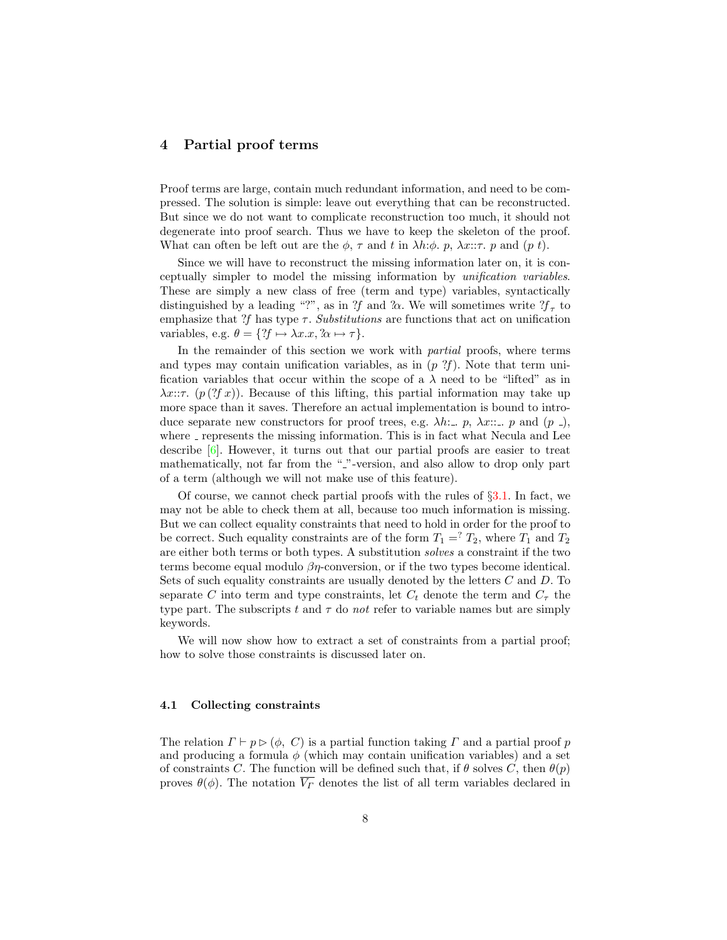## <span id="page-7-0"></span>4 Partial proof terms

Proof terms are large, contain much redundant information, and need to be compressed. The solution is simple: leave out everything that can be reconstructed. But since we do not want to complicate reconstruction too much, it should not degenerate into proof search. Thus we have to keep the skeleton of the proof. What can often be left out are the  $\phi$ ,  $\tau$  and  $t$  in  $\lambda h$ : $\phi$ .  $p$ ,  $\lambda x$ :: $\tau$ .  $p$  and  $(p t)$ .

Since we will have to reconstruct the missing information later on, it is conceptually simpler to model the missing information by unification variables. These are simply a new class of free (term and type) variables, syntactically distinguished by a leading "?", as in ?f and ? $\alpha$ . We will sometimes write  $?f_{\tau}$  to emphasize that ?f has type  $\tau$ . Substitutions are functions that act on unification variables, e.g.  $\theta = \{?f \mapsto \lambda x.x, ?\alpha \mapsto \tau\}.$ 

In the remainder of this section we work with *partial* proofs, where terms and types may contain unification variables, as in  $(p \gamma f)$ . Note that term unification variables that occur within the scope of a  $\lambda$  need to be "lifted" as in  $\lambda x$ :: $\tau$ . (p (?f x)). Because of this lifting, this partial information may take up more space than it saves. Therefore an actual implementation is bound to introduce separate new constructors for proof trees, e.g.  $\lambda h$ : . p,  $\lambda x$ :: . p and (p), where represents the missing information. This is in fact what Necula and Lee describe [\[6](#page-14-4)]. However, it turns out that our partial proofs are easier to treat mathematically, not far from the " "-version, and also allow to drop only part of a term (although we will not make use of this feature).

Of course, we cannot check partial proofs with the rules of  $\S 3.1$ . In fact, we may not be able to check them at all, because too much information is missing. But we can collect equality constraints that need to hold in order for the proof to be correct. Such equality constraints are of the form  $T_1 = T_2$ , where  $T_1$  and  $T_2$ are either both terms or both types. A substitution solves a constraint if the two terms become equal modulo  $\beta\eta$ -conversion, or if the two types become identical. Sets of such equality constraints are usually denoted by the letters  $C$  and  $D$ . To separate C into term and type constraints, let  $C_t$  denote the term and  $C_{\tau}$  the type part. The subscripts  $t$  and  $\tau$  do *not* refer to variable names but are simply keywords.

We will now show how to extract a set of constraints from a partial proof; how to solve those constraints is discussed later on.

### <span id="page-7-1"></span>4.1 Collecting constraints

The relation  $\Gamma \vdash p \triangleright (\phi, C)$  is a partial function taking  $\Gamma$  and a partial proof p and producing a formula  $\phi$  (which may contain unification variables) and a set of constraints C. The function will be defined such that, if  $\theta$  solves C, then  $\theta(p)$ proves  $\theta(\phi)$ . The notation  $\overline{V_{\Gamma}}$  denotes the list of all term variables declared in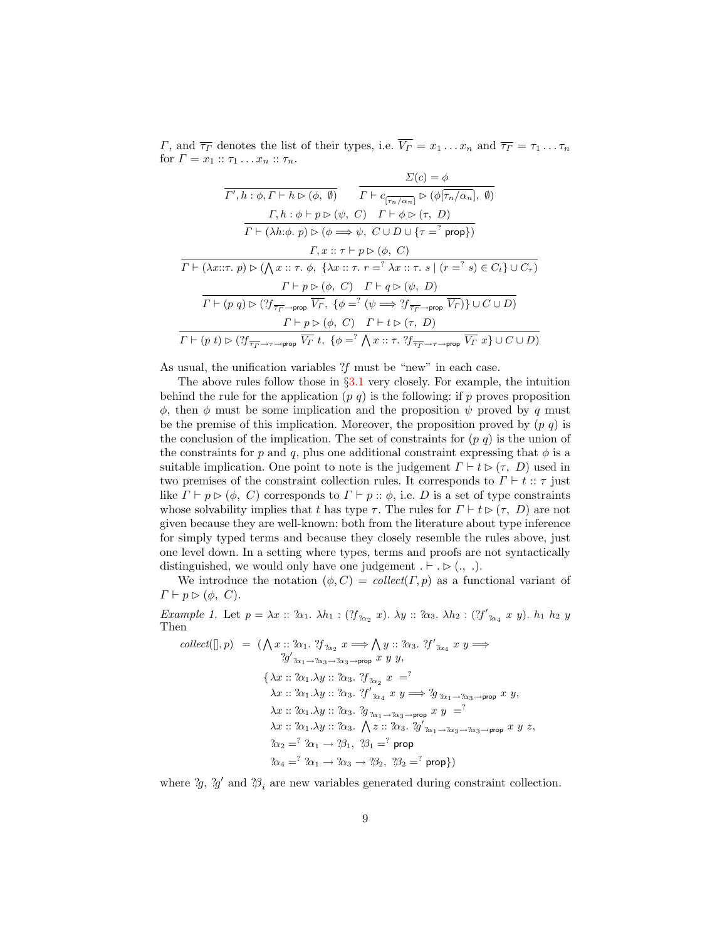Γ, and  $\overline{\tau_{\Gamma}}$  denotes the list of their types, i.e.  $\overline{V_{\Gamma}} = x_1 \dots x_n$  and  $\overline{\tau_{\Gamma}} = \tau_1 \dots \tau_n$ for  $\Gamma = x_1 :: \tau_1 \ldots x_n :: \tau_n$ .

$$
\frac{\Sigma(c) = \phi}{\Gamma', h : \phi, \Gamma \vdash h \rhd (\phi, \emptyset)} \qquad \frac{\Sigma(c) = \phi}{\Gamma \vdash c_{\lceil \tau_n / \alpha_n \rceil} \rhd (\phi \lceil \tau_n / \alpha_n \rceil, \emptyset)}
$$
\n
$$
\frac{\Gamma, h : \phi \vdash p \rhd (\psi, C) \quad \Gamma \vdash \phi \rhd (\tau, D)}{\Gamma \vdash (\lambda h : \phi \ldots p) \rhd (\phi \Longrightarrow \psi, C \cup D \cup \{\tau = \rceil \text{ prop}\})}
$$
\n
$$
\Gamma, x :: \tau \vdash p \rhd (\phi, C)
$$
\n
$$
\frac{\Gamma \vdash (\lambda x :: \tau. p) \rhd (\bigwedge x :: \tau. \phi, \{\lambda x :: \tau. r = \rceil \lambda x :: \tau. s \mid (r = \rceil s) \in C_t\} \cup C_\tau)}{\Gamma \vdash (p \ q) \rhd (\rceil \tau \vdash \neg \text{ prop} \ \overline{V} \tau, \{\phi = \rceil (\psi \Longrightarrow \rceil \tau \vdash \neg \text{ prop} \ \overline{V} \tau) \} \cup C \cup D)}
$$
\n
$$
\frac{\Gamma \vdash p \rhd (\phi, C) \quad \Gamma \vdash t \rhd (\tau, D)}{\Gamma \vdash (p \ t) \rhd (\rceil \tau \vdash \neg \text{ prop} \ \overline{V} \tau \ t, \{\phi = \rceil \text{ max} : \tau. \ \rceil \tau \vdash \tau \vdash \neg \text{ prop} \ \overline{V} \tau \ x \} \cup C \cup D)}
$$

As usual, the unification variables  $?f$  must be "new" in each case.

The above rules follow those in §[3.1](#page-2-1) very closely. For example, the intuition behind the rule for the application  $(p, q)$  is the following: if p proves proposition  $\phi$ , then  $\phi$  must be some implication and the proposition  $\psi$  proved by q must be the premise of this implication. Moreover, the proposition proved by  $(p, q)$  is the conclusion of the implication. The set of constraints for  $(p, q)$  is the union of the constraints for p and q, plus one additional constraint expressing that  $\phi$  is a suitable implication. One point to note is the judgement  $\Gamma \vdash t \triangleright (\tau, D)$  used in two premises of the constraint collection rules. It corresponds to  $\Gamma \vdash t :: \tau$  just like  $\Gamma \vdash p \triangleright (\phi, C)$  corresponds to  $\Gamma \vdash p :: \phi$ , i.e. D is a set of type constraints whose solvability implies that t has type  $\tau$ . The rules for  $\Gamma \vdash t \triangleright (\tau, D)$  are not given because they are well-known: both from the literature about type inference for simply typed terms and because they closely resemble the rules above, just one level down. In a setting where types, terms and proofs are not syntactically distinguished, we would only have one judgement  $. \vdash . \triangleright (., .).$ 

We introduce the notation  $(\phi, C) = collect(\Gamma, p)$  as a functional variant of  $\Gamma \vdash p \triangleright (\phi, C).$ 

Example 1. Let  $p = \lambda x :: \alpha_1 \cdot \lambda h_1 : (?f_{\alpha_2} x) \cdot \lambda y :: \alpha_3 \cdot \lambda h_2 : (?f_{\alpha_4} x y) \cdot h_1 h_2 y$ Then

$$
collect([\mathbf{0}, p) = (\bigwedge x :: \mathcal{U}_1 \cdot \mathcal{Y}_{\alpha_2} x \Longrightarrow \bigwedge y :: \mathcal{U}_3 \cdot \mathcal{Y}'_{\alpha_4} x y \Longrightarrow
$$
  
\n
$$
\mathcal{Y}'_{\alpha_1 \rightarrow \alpha_3 \rightarrow \alpha_3 \rightarrow \text{prop}} x y y,
$$
  
\n
$$
\{\lambda x :: \mathcal{U}_1 \cdot \lambda y :: \mathcal{U}_3 \cdot \mathcal{Y}'_{\alpha_2} x = \mathcal{Y}'_{\alpha_4 \rightarrow \alpha_3 \rightarrow \text{prop}} x y,
$$
  
\n
$$
\lambda x :: \mathcal{U}_1 \cdot \lambda y :: \mathcal{U}_3 \cdot \mathcal{Y}'_{\alpha_4} x y \Longrightarrow \mathcal{Y}_{\alpha_1 \rightarrow \alpha_3 \rightarrow \text{prop}} x y,
$$
  
\n
$$
\lambda x :: \mathcal{U}_1 \cdot \lambda y :: \mathcal{U}_3 \cdot \mathcal{Y}_{\alpha_1 \rightarrow \alpha_3 \rightarrow \text{prop}} x y = \mathcal{Y}'_{\alpha_1 \rightarrow \alpha_3 \rightarrow \alpha_3 \rightarrow \text{prop}} x y ;
$$
  
\n
$$
\lambda x :: \mathcal{U}_1 \cdot \lambda y :: \mathcal{U}_3 \cdot \bigwedge z :: \mathcal{U}_3 \cdot \mathcal{Y}'_{\alpha_1 \rightarrow \alpha_3 \rightarrow \alpha_3 \rightarrow \text{prop}} x y z,
$$
  
\n
$$
\mathcal{U}_2 = \mathcal{Y}'_{\alpha_1} \rightarrow \mathcal{Y}'_{\beta_1}, \mathcal{Y}'_{\beta_1} = \mathcal{Y}'_{\beta_1}
$$
  
\n
$$
\mathcal{U}_3 = \mathcal{Y}'_{\alpha_1} \rightarrow \mathcal{Y}'_{\beta_2}, \mathcal{Y}'_{\beta_2} = \mathcal{Y}'_{\beta_1}
$$

where  $\mathscr{G}, \mathscr{G}'$  and  $\mathscr{B}_i$  are new variables generated during constraint collection.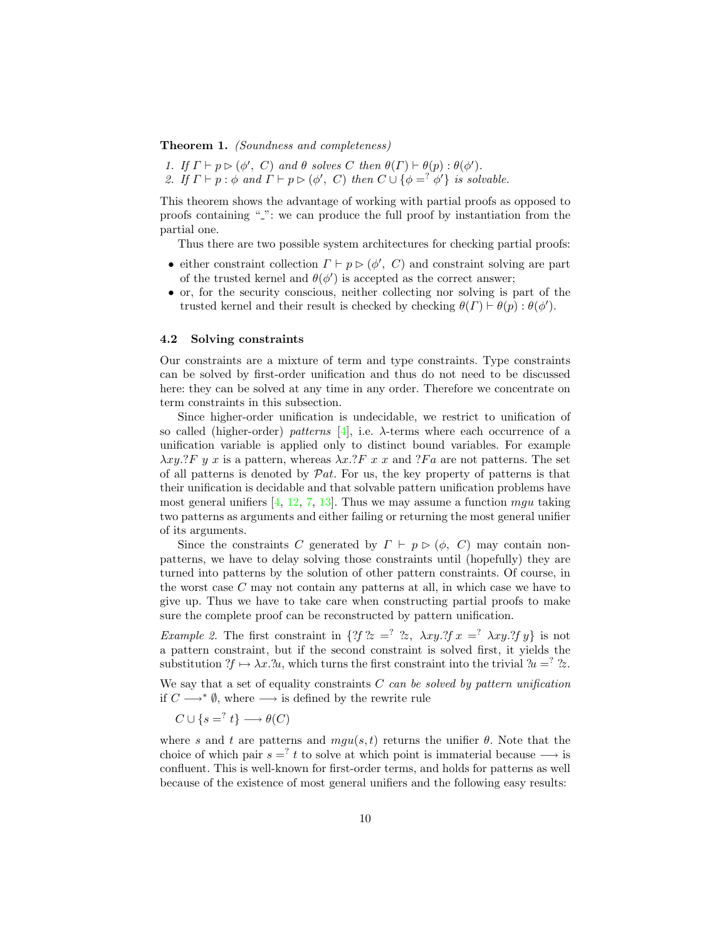#### <span id="page-9-2"></span>Theorem 1. (Soundness and completeness)

<span id="page-9-1"></span>1. If  $\Gamma \vdash p \triangleright (\phi', C)$  and  $\theta$  solves C then  $\theta(\Gamma) \vdash \theta(p) : \theta(\phi').$ 2. If  $\Gamma \vdash p : \phi$  and  $\Gamma \vdash p \rhd (\phi', C)$  then  $C \cup {\phi = \phi' \phi'}$  is solvable.

This theorem shows the advantage of working with partial proofs as opposed to proofs containing " ": we can produce the full proof by instantiation from the partial one.

Thus there are two possible system architectures for checking partial proofs:

- either constraint collection  $\Gamma \vdash p \triangleright (\phi', C)$  and constraint solving are part of the trusted kernel and  $\theta(\phi)$  is accepted as the correct answer;
- or, for the security conscious, neither collecting nor solving is part of the trusted kernel and their result is checked by checking  $\theta(\Gamma) \vdash \theta(\rho) : \theta(\phi')$ .

### <span id="page-9-0"></span>4.2 Solving constraints

Our constraints are a mixture of term and type constraints. Type constraints can be solved by first-order unification and thus do not need to be discussed here: they can be solved at any time in any order. Therefore we concentrate on term constraints in this subsection.

Since higher-order unification is undecidable, we restrict to unification of so called (higher-order) patterns  $[4]$  $[4]$ , i.e.  $\lambda$ -terms where each occurrence of a unification variable is applied only to distinct bound variables. For example  $\lambda xy.$ ?F y x is a pattern, whereas  $\lambda x.$ ?F x x and ?Fa are not patterns. The set of all patterns is denoted by  $\mathcal{P}at$ . For us, the key property of patterns is that their unification is decidable and that solvable pattern unification problems have mostgeneral unifiers  $[4, 12, 7, 13]$  $[4, 12, 7, 13]$  $[4, 12, 7, 13]$  $[4, 12, 7, 13]$  $[4, 12, 7, 13]$  $[4, 12, 7, 13]$  $[4, 12, 7, 13]$  $[4, 12, 7, 13]$ . Thus we may assume a function  $mgu$  taking two patterns as arguments and either failing or returning the most general unifier of its arguments.

Since the constraints C generated by  $\Gamma \vdash p \triangleright (\phi, C)$  may contain nonpatterns, we have to delay solving those constraints until (hopefully) they are turned into patterns by the solution of other pattern constraints. Of course, in the worst case C may not contain any patterns at all, in which case we have to give up. Thus we have to take care when constructing partial proofs to make sure the complete proof can be reconstructed by pattern unification.

*Example 2.* The first constraint in  $\{?f\;?\; z = ?\;?\; z, \; \lambda xy.?\; f\; x = ?\; \lambda xy.?\; f\; y\}$  is not a pattern constraint, but if the second constraint is solved first, it yields the substitution  $?f \mapsto \lambda x.\mathcal{U}$ , which turns the first constraint into the trivial  $\mathcal{U} = \mathcal{U}$ .

We say that a set of equality constraints  $C$  can be solved by pattern unification if  $C \longrightarrow^* \emptyset$ , where  $\longrightarrow$  is defined by the rewrite rule

 $C \cup \{s = 7^2 t\} \longrightarrow \theta(C)$ 

where s and t are patterns and  $mgu(s, t)$  returns the unifier  $\theta$ . Note that the choice of which pair  $s = i$  to solve at which point is immaterial because  $\longrightarrow$  is confluent. This is well-known for first-order terms, and holds for patterns as well because of the existence of most general unifiers and the following easy results: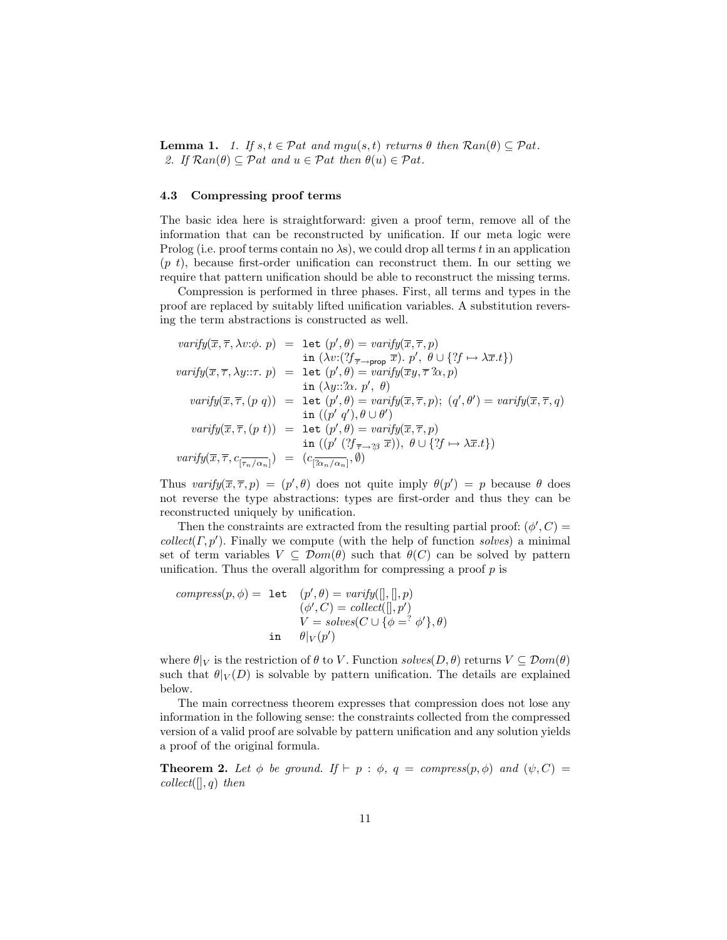**Lemma 1.** 1. If  $s, t \in \mathcal{P}$ at and  $mgu(s, t)$  returns  $\theta$  then  $\mathcal{R}an(\theta) \subseteq \mathcal{P}at$ . 2. If  $\mathcal{R}an(\theta) \subseteq \mathcal{P}at$  and  $u \in \mathcal{P}at$  then  $\theta(u) \in \mathcal{P}at$ .

### <span id="page-10-0"></span>4.3 Compressing proof terms

The basic idea here is straightforward: given a proof term, remove all of the information that can be reconstructed by unification. If our meta logic were Prolog (i.e. proof terms contain no  $\lambda$ s), we could drop all terms t in an application  $(p t)$ , because first-order unification can reconstruct them. In our setting we require that pattern unification should be able to reconstruct the missing terms.

Compression is performed in three phases. First, all terms and types in the proof are replaced by suitably lifted unification variables. A substitution reversing the term abstractions is constructed as well.

$$
variify(\overline{x}, \overline{\tau}, \lambda v:\phi, p) = \text{let } (p', \theta) = \text{variify}(\overline{x}, \overline{\tau}, p)
$$
\n
$$
in (\lambda v: (\mathcal{I}f_{\overline{\tau} \to prop} \overline{x}), p', \theta \cup \{\mathcal{I}f \mapsto \lambda \overline{x}.t\})
$$
\n
$$
variify(\overline{x}, \overline{\tau}, \lambda y::\tau, p) = \text{let } (p', \theta) = \text{variify}(\overline{x}y, \overline{\tau} : \alpha, p)
$$
\n
$$
in (\lambda y::\alpha. p', \theta)
$$
\n
$$
variify(\overline{x}, \overline{\tau}, (p, q)) = \text{let } (p', \theta) = \text{variify}(\overline{x}, \overline{\tau}, p); (q', \theta') = \text{variify}(\overline{x}, \overline{\tau}, q)
$$
\n
$$
in ((p', q'), \theta \cup \theta')
$$
\n
$$
varify(\overline{x}, \overline{\tau}, (p, t)) = \text{let } (p', \theta) = \text{variify}(\overline{x}, \overline{\tau}, p)
$$
\n
$$
in ((p', (\mathcal{I}f_{\overline{\tau} \to \gamma \beta} \overline{x}))), \theta \cup \{\mathcal{I}f \mapsto \lambda \overline{x}.t\})
$$
\n
$$
varify(\overline{x}, \overline{\tau}, c_{[\overline{\tau_n/\alpha_n}]}) = (c_{[\overline{\alpha_n/\alpha_n}]}, \emptyset)
$$

Thus  $\text{variify}(\overline{x}, \overline{\tau}, p) = (p', \theta)$  does not quite imply  $\theta(p') = p$  because  $\theta$  does not reverse the type abstractions: types are first-order and thus they can be reconstructed uniquely by unification.

Then the constraints are extracted from the resulting partial proof:  $(\phi', C)$  =  $collect(\Gamma, p')$ . Finally we compute (with the help of function solves) a minimal set of term variables  $V \subseteq \mathcal{D}om(\theta)$  such that  $\theta(C)$  can be solved by pattern unification. Thus the overall algorithm for compressing a proof  $p$  is

$$
compress(p, \phi) = \text{ let } (p', \theta) = \text{varify}([],[], p)
$$
  
\n
$$
(\phi', C) = \text{collect}([], p')
$$
  
\n
$$
V = \text{solves}(C \cup \{\phi = ? \phi'\}, \theta)
$$
  
\n
$$
\text{in } \theta|_V(p')
$$

where  $\theta|_V$  is the restriction of  $\theta$  to V. Function solves(D,  $\theta$ ) returns  $V \subseteq \mathcal{D}om(\theta)$ such that  $\theta|_V(D)$  is solvable by pattern unification. The details are explained below.

The main correctness theorem expresses that compression does not lose any information in the following sense: the constraints collected from the compressed version of a valid proof are solvable by pattern unification and any solution yields a proof of the original formula.

**Theorem 2.** Let  $\phi$  be ground. If  $\models p : \phi, q = compress(p, \phi)$  and  $(\psi, C) =$  $collect([, q) then$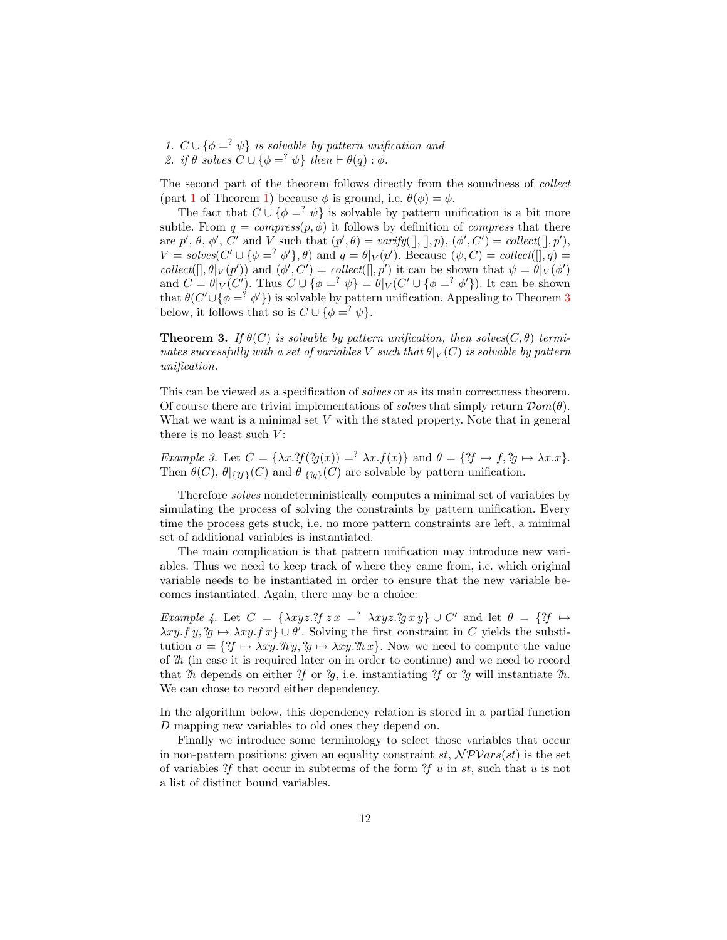1.  $C \cup {\phi =^? \psi}$  is solvable by pattern unification and 2. if  $\theta$  solves  $C \cup {\phi} = \psi$  then  $\vdash \theta(q) : \phi$ .

The second part of the theorem follows directly from the soundness of collect (part [1](#page-9-1) of Theorem [1\)](#page-9-2) because  $\phi$  is ground, i.e.  $\theta(\phi) = \phi$ .

The fact that  $C \cup {\phi} = \psi$  is solvable by pattern unification is a bit more subtle. From  $q = compress(p, \phi)$  it follows by definition of *compress* that there are p',  $\theta$ ,  $\phi'$ ,  $C'$  and V such that  $(p', \theta) = \text{varify}([\,], [\,], p)$ ,  $(\phi', C') = \text{collect}([\,], p')$ ,  $V = solves(C' \cup {\phi =^? \phi'}, \theta)$  and  $q = \theta|_V(p')$ . Because  $(\psi, C) = collect(\begin{bmatrix} 0 & 0 \\ 0 & q \end{bmatrix})$ collect([],  $\theta|_V(p')$ ) and  $(\phi', C') = collect([\theta], p')$  it can be shown that  $\psi = \theta|_V(\phi')$ and  $C = \theta|_V(C')$ . Thus  $C \cup {\phi =^? \psi} = \theta|_V(C' \cup {\phi =^? \phi'}).$  It can be shown that  $\theta(C' \cup {\phi = \hat{i} \phi'}$  is solvable by pattern unification. Appealing to Theorem [3](#page-11-0) below, it follows that so is  $C \cup \{\phi = \psi\}.$ 

<span id="page-11-0"></span>**Theorem 3.** If  $\theta(C)$  is solvable by pattern unification, then solves  $(C, \theta)$  terminates successfully with a set of variables V such that  $\theta|_V(C)$  is solvable by pattern unification.

This can be viewed as a specification of solves or as its main correctness theorem. Of course there are trivial implementations of *solves* that simply return  $Dom(\theta)$ . What we want is a minimal set  $V$  with the stated property. Note that in general there is no least such  $V$ :

Example 3. Let  $C = {\lambda x. ?f({\partial g(x))} = \lambda x.f(x)}$  and  $\theta = {\partial f \mapsto f, \partial g \mapsto \lambda x.x}.$ Then  $\theta(C)$ ,  $\theta|_{\{\mathcal{U}\}}(C)$  and  $\theta|_{\{\mathcal{U}\}}(C)$  are solvable by pattern unification.

Therefore solves nondeterministically computes a minimal set of variables by simulating the process of solving the constraints by pattern unification. Every time the process gets stuck, i.e. no more pattern constraints are left, a minimal set of additional variables is instantiated.

The main complication is that pattern unification may introduce new variables. Thus we need to keep track of where they came from, i.e. which original variable needs to be instantiated in order to ensure that the new variable becomes instantiated. Again, there may be a choice:

Example 4. Let  $C = \{\lambda xyz. ? f z x =^? \lambda xyz. ? g x y \} \cup C'$  and let  $\theta = \{? f \mapsto$  $\lambda xy.f y, y g \mapsto \lambda xy.f x$   $\cup \theta'$ . Solving the first constraint in C yields the substitution  $\sigma = \{?f \mapsto \lambda xy.?\hbar y, ?g \mapsto \lambda xy.?\hbar x\}.$  Now we need to compute the value of ?h (in case it is required later on in order to continue) and we need to record that  $h$  depends on either  $\mathcal{L}f$  or  $\mathcal{L}g$ , i.e. instantiating  $\mathcal{L}f$  or  $\mathcal{L}g$  will instantiate  $\mathcal{L}h$ . We can chose to record either dependency.

In the algorithm below, this dependency relation is stored in a partial function D mapping new variables to old ones they depend on.

Finally we introduce some terminology to select those variables that occur in non-pattern positions: given an equality constraint st,  $N \mathcal{P} Vars(st)$  is the set of variables ?f that occur in subterms of the form ?f  $\overline{u}$  in st, such that  $\overline{u}$  is not a list of distinct bound variables.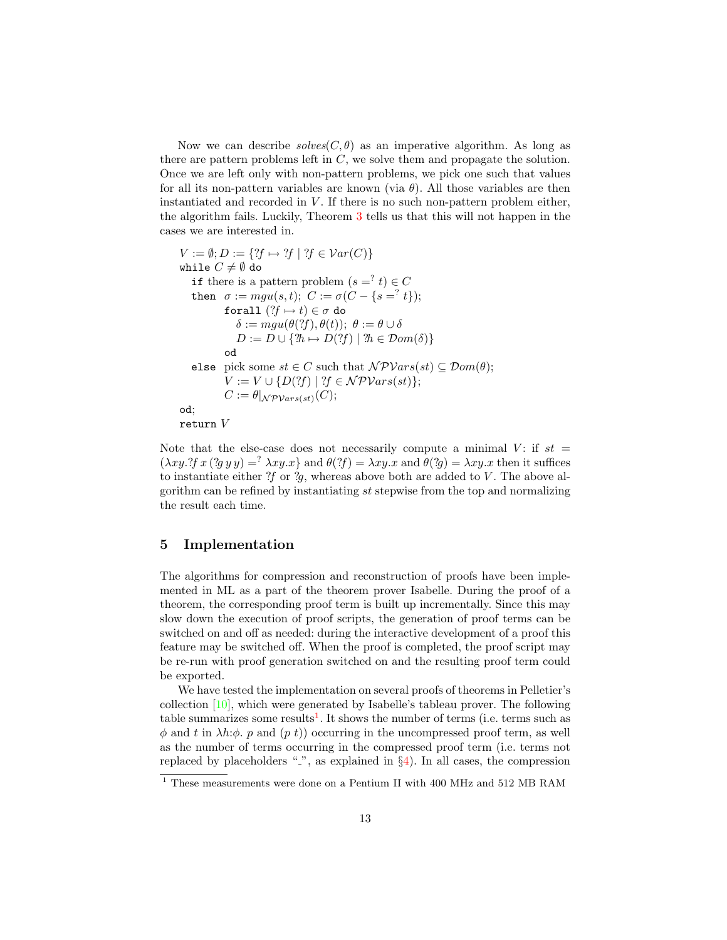Now we can describe  $\mathit{solves}(C, \theta)$  as an imperative algorithm. As long as there are pattern problems left in  $C$ , we solve them and propagate the solution. Once we are left only with non-pattern problems, we pick one such that values for all its non-pattern variables are known (via  $\theta$ ). All those variables are then instantiated and recorded in  $V$ . If there is no such non-pattern problem either, the algorithm fails. Luckily, Theorem [3](#page-11-0) tells us that this will not happen in the cases we are interested in.

```
V:=\emptyset; D:=\{?f \mapsto ?f \mid ?f \in \mathcal Var(C)\}while C \neq \emptyset do
    if there is a pattern problem (s = 7 t) \in Cthen \sigma := mgu(s,t); C := \sigma(C - \{s = 1\});
             forall (?f \mapsto t) \in \sigma do
                 \delta := mgu(\theta(\hat{f}), \theta(t)); \theta := \theta \cup \deltaD := D \cup \{ \mathcal{H} \mapsto D(\mathcal{H}) \mid \mathcal{H} \in \mathcal{D}om(\delta) \}od
   else pick some st \in C such that \mathcal{NPVars}(st) \subseteq \mathcal{Dom}(\theta);V := V \cup \{D(?f) \mid ?f \in \mathcal{NPVars}(st)\};C := \theta|_{\mathcal{NPVars}(st)}(C);od;
return V
```
Note that the else-case does not necessarily compute a minimal  $V:$  if  $st =$  $(\lambda xy. ? f x (? gy y) = ? \lambda xy. x$  and  $\theta(?f) = \lambda xy. x$  and  $\theta(?g) = \lambda xy. x$  then it suffices to instantiate either  $\mathcal{L}f$  or  $\mathcal{L}g$ , whereas above both are added to V. The above algorithm can be refined by instantiating st stepwise from the top and normalizing the result each time.

### 5 Implementation

The algorithms for compression and reconstruction of proofs have been implemented in ML as a part of the theorem prover Isabelle. During the proof of a theorem, the corresponding proof term is built up incrementally. Since this may slow down the execution of proof scripts, the generation of proof terms can be switched on and off as needed: during the interactive development of a proof this feature may be switched off. When the proof is completed, the proof script may be re-run with proof generation switched on and the resulting proof term could be exported.

We have tested the implementation on several proofs of theorems in Pelletier's collection[[10\]](#page-14-13), which were generated by Isabelle's tableau prover. The following table summarizes some results<sup>[1](#page-12-0)</sup>. It shows the number of terms (i.e. terms such as  $\phi$  and t in  $\lambda h:\phi$ . p and  $(p t)$  occurring in the uncompressed proof term, as well as the number of terms occurring in the compressed proof term (i.e. terms not replaced by placeholders " $\cdot$ ", as explained in §[4\)](#page-7-0). In all cases, the compression

<span id="page-12-0"></span> $^{\rm 1}$  These measurements were done on a Pentium II with 400 MHz and 512 MB RAM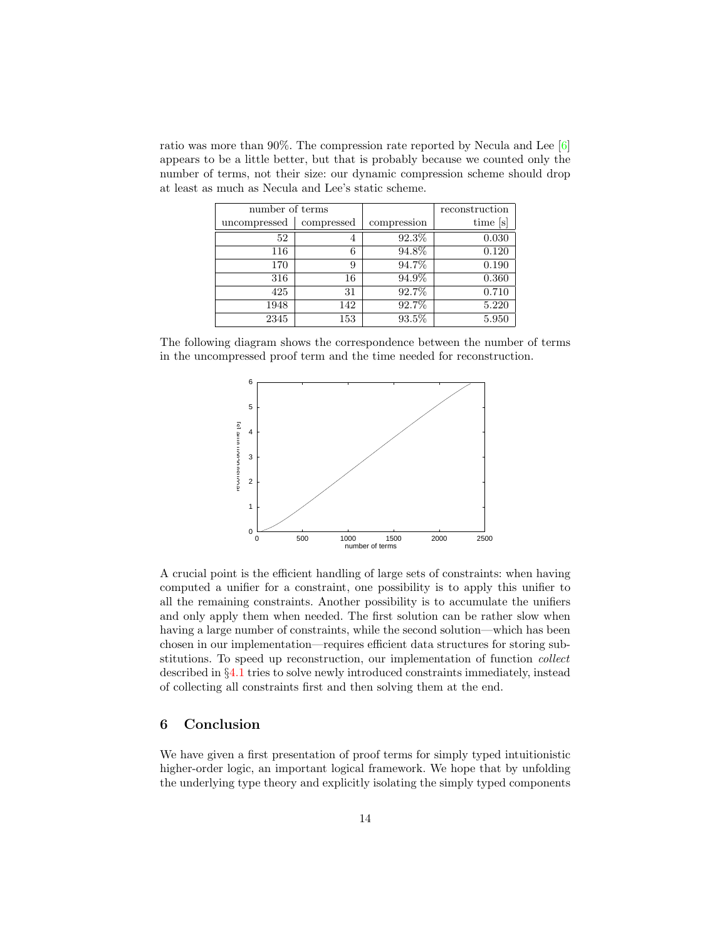ratio was more than 90%. The compression rate reported by Necula and Lee[[6\]](#page-14-4) appears to be a little better, but that is probably because we counted only the number of terms, not their size: our dynamic compression scheme should drop at least as much as Necula and Lee's static scheme.

| number of terms |            |             | reconstruction |
|-----------------|------------|-------------|----------------|
| uncompressed    | compressed | compression | time [s]       |
| 52              | 4          | 92.3%       | 0.030          |
| 116             | 6          | 94.8%       | 0.120          |
| 170             | 9          | 94.7%       | 0.190          |
| 316             | 16         | 94.9%       | 0.360          |
| 425             | 31         | 92.7%       | 0.710          |
| 1948            | 142        | 92.7%       | 5.220          |
| 2345            | 153        | 93.5%       | 5.950          |

The following diagram shows the correspondence between the number of terms in the uncompressed proof term and the time needed for reconstruction.



A crucial point is the efficient handling of large sets of constraints: when having computed a unifier for a constraint, one possibility is to apply this unifier to all the remaining constraints. Another possibility is to accumulate the unifiers and only apply them when needed. The first solution can be rather slow when having a large number of constraints, while the second solution—which has been chosen in our implementation—requires efficient data structures for storing substitutions. To speed up reconstruction, our implementation of function collect described in §[4.1](#page-7-1) tries to solve newly introduced constraints immediately, instead of collecting all constraints first and then solving them at the end.

# 6 Conclusion

We have given a first presentation of proof terms for simply typed intuitionistic higher-order logic, an important logical framework. We hope that by unfolding the underlying type theory and explicitly isolating the simply typed components